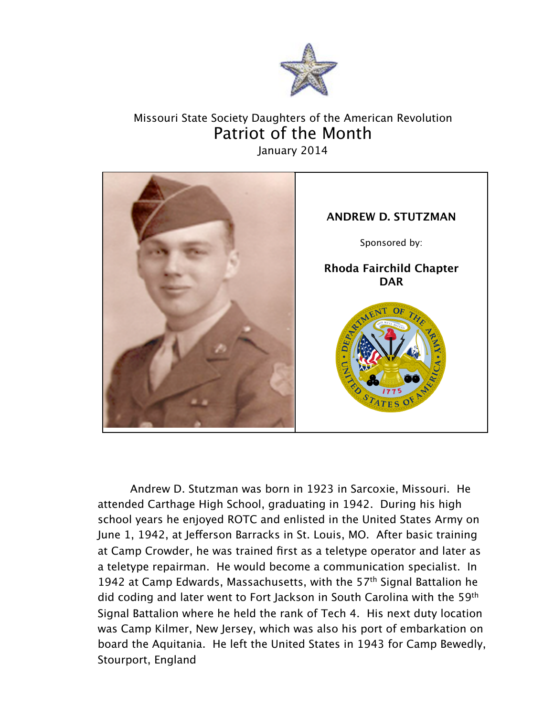

## Missouri State Society Daughters of the American Revolution Patriot of the Month January 2014



Andrew D. Stutzman was born in 1923 in Sarcoxie, Missouri. He attended Carthage High School, graduating in 1942. During his high school years he enjoyed ROTC and enlisted in the United States Army on June 1, 1942, at Jeferson Barracks in St. Louis, MO. After basic training at Camp Crowder, he was trained first as a teletype operator and later as a teletype repairman. He would become a communication specialist. In 1942 at Camp Edwards, Massachusetts, with the 57<sup>th</sup> Signal Battalion he did coding and later went to Fort Jackson in South Carolina with the 59th Signal Battalion where he held the rank of Tech 4. His next duty location was Camp Kilmer, New Jersey, which was also his port of embarkation on board the Aquitania. He left the United States in 1943 for Camp Bewedly, Stourport, England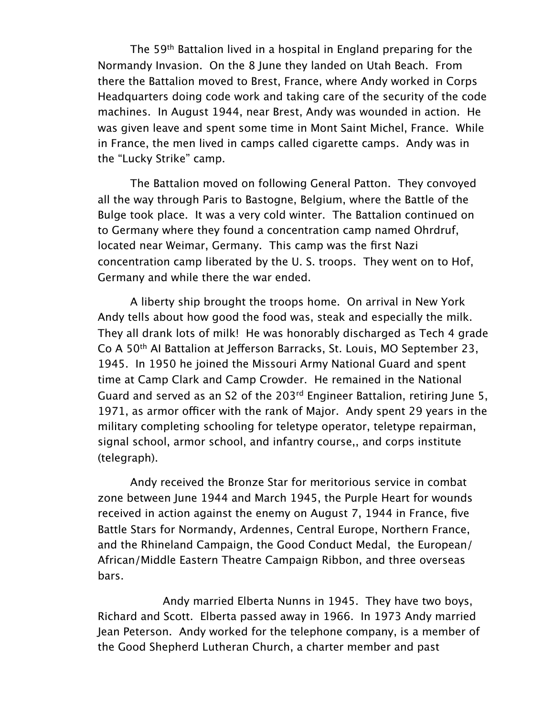The 59th Battalion lived in a hospital in England preparing for the Normandy Invasion. On the 8 June they landed on Utah Beach. From there the Battalion moved to Brest, France, where Andy worked in Corps Headquarters doing code work and taking care of the security of the code machines. In August 1944, near Brest, Andy was wounded in action. He was given leave and spent some time in Mont Saint Michel, France. While in France, the men lived in camps called cigarette camps. Andy was in the "Lucky Strike" camp.

The Battalion moved on following General Patton. They convoyed all the way through Paris to Bastogne, Belgium, where the Battle of the Bulge took place. It was a very cold winter. The Battalion continued on to Germany where they found a concentration camp named Ohrdruf, located near Weimar, Germany. This camp was the first Nazi concentration camp liberated by the U. S. troops. They went on to Hof, Germany and while there the war ended.

A liberty ship brought the troops home. On arrival in New York Andy tells about how good the food was, steak and especially the milk. They all drank lots of milk! He was honorably discharged as Tech 4 grade Co A 50<sup>th</sup> AI Battalion at Jefferson Barracks, St. Louis, MO September 23, 1945. In 1950 he joined the Missouri Army National Guard and spent time at Camp Clark and Camp Crowder. He remained in the National Guard and served as an S2 of the 203<sup>rd</sup> Engineer Battalion, retiring June 5, 1971, as armor officer with the rank of Major. Andy spent 29 years in the military completing schooling for teletype operator, teletype repairman, signal school, armor school, and infantry course,, and corps institute (telegraph).

Andy received the Bronze Star for meritorious service in combat zone between June 1944 and March 1945, the Purple Heart for wounds received in action against the enemy on August 7, 1944 in France, five Battle Stars for Normandy, Ardennes, Central Europe, Northern France, and the Rhineland Campaign, the Good Conduct Medal, the European/ African/Middle Eastern Theatre Campaign Ribbon, and three overseas bars.

Andy married Elberta Nunns in 1945. They have two boys, Richard and Scott. Elberta passed away in 1966. In 1973 Andy married Jean Peterson. Andy worked for the telephone company, is a member of the Good Shepherd Lutheran Church, a charter member and past